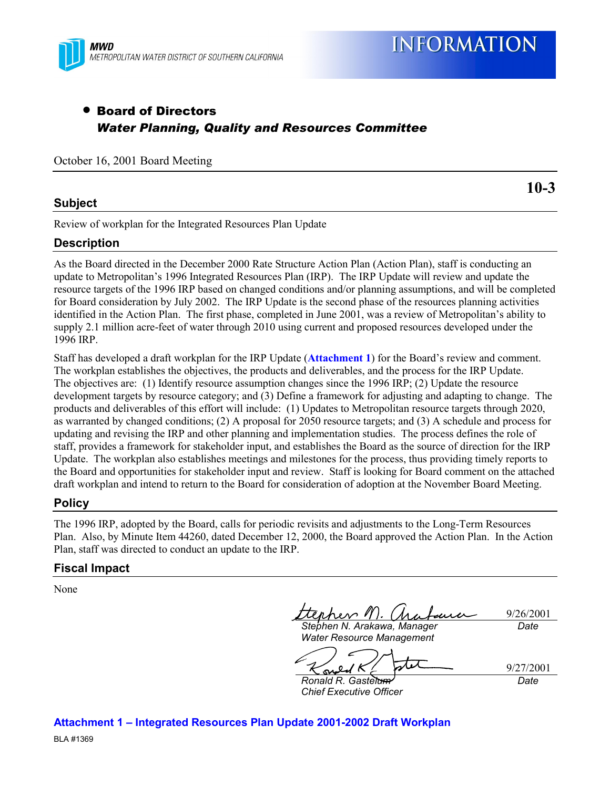

## • Board of Directors *Water Planning, Quality and Resources Committee*

October 16, 2001 Board Meeting

#### **Subject**

**10-3**

Review of workplan for the Integrated Resources Plan Update

#### **Description**

As the Board directed in the December 2000 Rate Structure Action Plan (Action Plan), staff is conducting an update to Metropolitanís 1996 Integrated Resources Plan (IRP). The IRP Update will review and update the resource targets of the 1996 IRP based on changed conditions and/or planning assumptions, and will be completed for Board consideration by July 2002. The IRP Update is the second phase of the resources planning activities identified in the Action Plan. The first phase, completed in June 2001, was a review of Metropolitan's ability to supply 2.1 million acre-feet of water through 2010 using current and proposed resources developed under the 1996 IRP.

Staff has developed a draft workplan for the IRP Update (**Attachment 1**) for the Board's review and comment. The workplan establishes the objectives, the products and deliverables, and the process for the IRP Update. The objectives are: (1) Identify resource assumption changes since the 1996 IRP; (2) Update the resource development targets by resource category; and (3) Define a framework for adjusting and adapting to change. The products and deliverables of this effort will include: (1) Updates to Metropolitan resource targets through 2020, as warranted by changed conditions; (2) A proposal for 2050 resource targets; and (3) A schedule and process for updating and revising the IRP and other planning and implementation studies. The process defines the role of staff, provides a framework for stakeholder input, and establishes the Board as the source of direction for the IRP Update. The workplan also establishes meetings and milestones for the process, thus providing timely reports to the Board and opportunities for stakeholder input and review. Staff is looking for Board comment on the attached draft workplan and intend to return to the Board for consideration of adoption at the November Board Meeting.

#### **Policy**

The 1996 IRP, adopted by the Board, calls for periodic revisits and adjustments to the Long-Term Resources Plan. Also, by Minute Item 44260, dated December 12, 2000, the Board approved the Action Plan. In the Action Plan, staff was directed to conduct an update to the IRP.

#### **Fiscal Impact**

None

9/26/2001

*Stephen N. Arakawa, Manager*

*Date*

*Water Resource Management*

9/27/2001

*Ronald R. Gastelum Chief Executive Officer*

*Date*

**Attachment 1 - Integrated Resources Plan Update 2001-2002 Draft Workplan**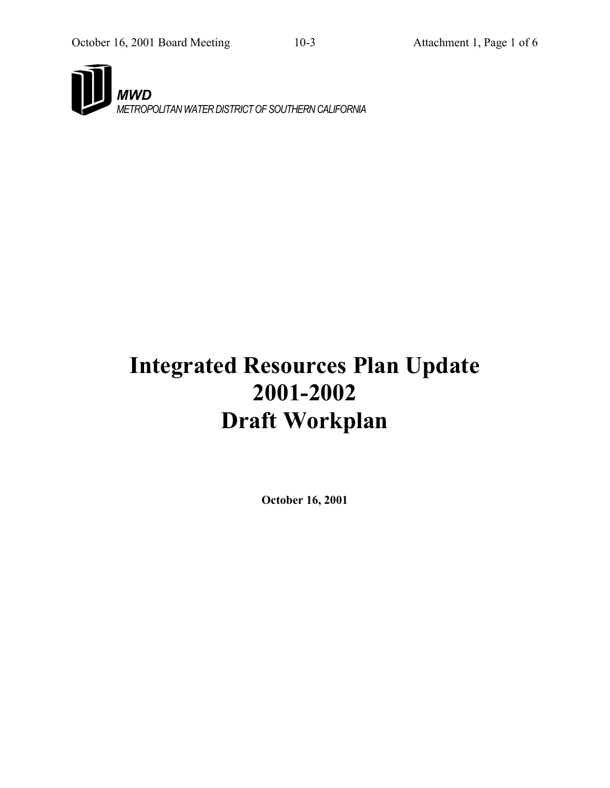

# **Integrated Resources Plan Update 2001-2002 Draft Workplan**

**October 16, 2001**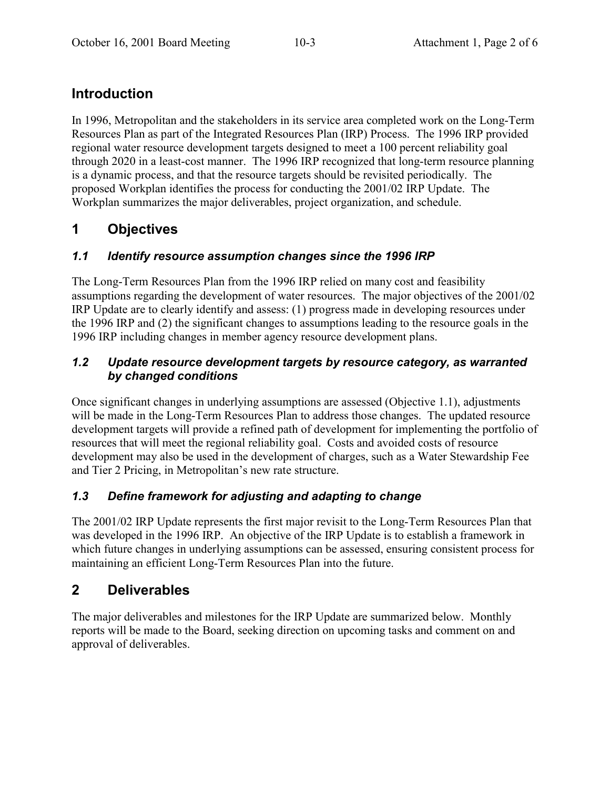# **Introduction**

In 1996, Metropolitan and the stakeholders in its service area completed work on the Long-Term Resources Plan as part of the Integrated Resources Plan (IRP) Process. The 1996 IRP provided regional water resource development targets designed to meet a 100 percent reliability goal through 2020 in a least-cost manner. The 1996 IRP recognized that long-term resource planning is a dynamic process, and that the resource targets should be revisited periodically. The proposed Workplan identifies the process for conducting the 2001/02 IRP Update. The Workplan summarizes the major deliverables, project organization, and schedule.

# **1 Objectives**

### *1.1 Identify resource assumption changes since the 1996 IRP*

The Long-Term Resources Plan from the 1996 IRP relied on many cost and feasibility assumptions regarding the development of water resources. The major objectives of the 2001/02 IRP Update are to clearly identify and assess: (1) progress made in developing resources under the 1996 IRP and (2) the significant changes to assumptions leading to the resource goals in the 1996 IRP including changes in member agency resource development plans.

#### *1.2 Update resource development targets by resource category, as warranted by changed conditions*

Once significant changes in underlying assumptions are assessed (Objective 1.1), adjustments will be made in the Long-Term Resources Plan to address those changes. The updated resource development targets will provide a refined path of development for implementing the portfolio of resources that will meet the regional reliability goal. Costs and avoided costs of resource development may also be used in the development of charges, such as a Water Stewardship Fee and Tier 2 Pricing, in Metropolitan's new rate structure.

### *1.3 Define framework for adjusting and adapting to change*

The 2001/02 IRP Update represents the first major revisit to the Long-Term Resources Plan that was developed in the 1996 IRP. An objective of the IRP Update is to establish a framework in which future changes in underlying assumptions can be assessed, ensuring consistent process for maintaining an efficient Long-Term Resources Plan into the future.

# **2 Deliverables**

The major deliverables and milestones for the IRP Update are summarized below. Monthly reports will be made to the Board, seeking direction on upcoming tasks and comment on and approval of deliverables.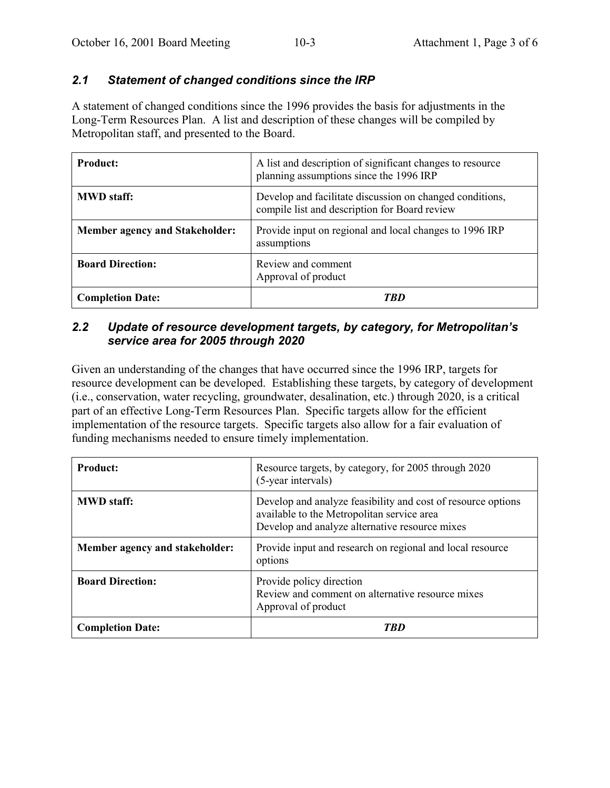#### *2.1 Statement of changed conditions since the IRP*

A statement of changed conditions since the 1996 provides the basis for adjustments in the Long-Term Resources Plan. A list and description of these changes will be compiled by Metropolitan staff, and presented to the Board.

| <b>Product:</b>                       | A list and description of significant changes to resource<br>planning assumptions since the 1996 IRP      |
|---------------------------------------|-----------------------------------------------------------------------------------------------------------|
| <b>MWD</b> staff:                     | Develop and facilitate discussion on changed conditions,<br>compile list and description for Board review |
| <b>Member agency and Stakeholder:</b> | Provide input on regional and local changes to 1996 IRP<br>assumptions                                    |
| <b>Board Direction:</b>               | Review and comment<br>Approval of product                                                                 |
| <b>Completion Date:</b>               | TRN                                                                                                       |

#### *2.2 Update of resource development targets, by category, for Metropolitanís service area for 2005 through 2020*

Given an understanding of the changes that have occurred since the 1996 IRP, targets for resource development can be developed. Establishing these targets, by category of development (i.e., conservation, water recycling, groundwater, desalination, etc.) through 2020, is a critical part of an effective Long-Term Resources Plan. Specific targets allow for the efficient implementation of the resource targets. Specific targets also allow for a fair evaluation of funding mechanisms needed to ensure timely implementation.

| <b>Product:</b>                | Resource targets, by category, for 2005 through 2020<br>(5-year intervals)                                                                                   |
|--------------------------------|--------------------------------------------------------------------------------------------------------------------------------------------------------------|
| <b>MWD</b> staff:              | Develop and analyze feasibility and cost of resource options<br>available to the Metropolitan service area<br>Develop and analyze alternative resource mixes |
| Member agency and stakeholder: | Provide input and research on regional and local resource<br>options                                                                                         |
| <b>Board Direction:</b>        | Provide policy direction<br>Review and comment on alternative resource mixes<br>Approval of product                                                          |
| <b>Completion Date:</b>        | TRD                                                                                                                                                          |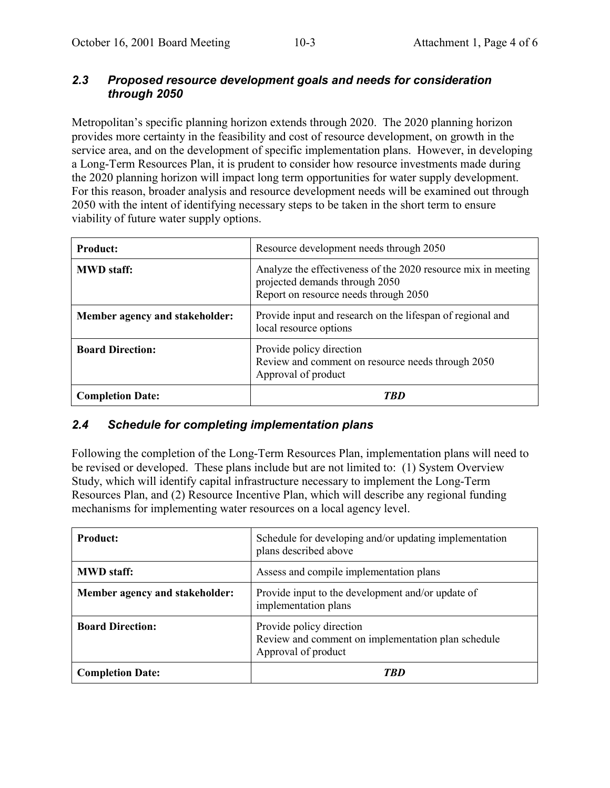#### *2.3 Proposed resource development goals and needs for consideration through 2050*

Metropolitan's specific planning horizon extends through 2020. The 2020 planning horizon provides more certainty in the feasibility and cost of resource development, on growth in the service area, and on the development of specific implementation plans. However, in developing a Long-Term Resources Plan, it is prudent to consider how resource investments made during the 2020 planning horizon will impact long term opportunities for water supply development. For this reason, broader analysis and resource development needs will be examined out through 2050 with the intent of identifying necessary steps to be taken in the short term to ensure viability of future water supply options.

| <b>Product:</b>                | Resource development needs through 2050                                                                                                  |
|--------------------------------|------------------------------------------------------------------------------------------------------------------------------------------|
| <b>MWD</b> staff:              | Analyze the effectiveness of the 2020 resource mix in meeting<br>projected demands through 2050<br>Report on resource needs through 2050 |
| Member agency and stakeholder: | Provide input and research on the lifespan of regional and<br>local resource options                                                     |
| <b>Board Direction:</b>        | Provide policy direction<br>Review and comment on resource needs through 2050<br>Approval of product                                     |
| <b>Completion Date:</b>        | TRD                                                                                                                                      |

#### *2.4 Schedule for completing implementation plans*

Following the completion of the Long-Term Resources Plan, implementation plans will need to be revised or developed. These plans include but are not limited to: (1) System Overview Study, which will identify capital infrastructure necessary to implement the Long-Term Resources Plan, and (2) Resource Incentive Plan, which will describe any regional funding mechanisms for implementing water resources on a local agency level.

| <b>Product:</b>                | Schedule for developing and/or updating implementation<br>plans described above                       |
|--------------------------------|-------------------------------------------------------------------------------------------------------|
| <b>MWD</b> staff:              | Assess and compile implementation plans                                                               |
| Member agency and stakeholder: | Provide input to the development and/or update of<br>implementation plans                             |
| <b>Board Direction:</b>        | Provide policy direction<br>Review and comment on implementation plan schedule<br>Approval of product |
| <b>Completion Date:</b>        | TRD                                                                                                   |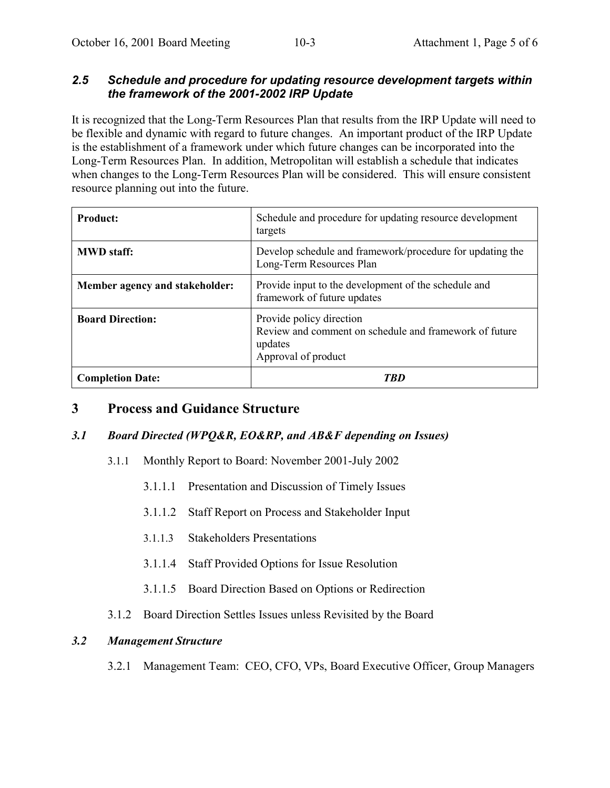#### *2.5 Schedule and procedure for updating resource development targets within the framework of the 2001-2002 IRP Update*

It is recognized that the Long-Term Resources Plan that results from the IRP Update will need to be flexible and dynamic with regard to future changes. An important product of the IRP Update is the establishment of a framework under which future changes can be incorporated into the Long-Term Resources Plan. In addition, Metropolitan will establish a schedule that indicates when changes to the Long-Term Resources Plan will be considered. This will ensure consistent resource planning out into the future.

| <b>Product:</b>                | Schedule and procedure for updating resource development<br>targets                                                  |
|--------------------------------|----------------------------------------------------------------------------------------------------------------------|
| <b>MWD</b> staff:              | Develop schedule and framework/procedure for updating the<br>Long-Term Resources Plan                                |
| Member agency and stakeholder: | Provide input to the development of the schedule and<br>framework of future updates                                  |
| <b>Board Direction:</b>        | Provide policy direction<br>Review and comment on schedule and framework of future<br>updates<br>Approval of product |
| <b>Completion Date:</b>        | TRN                                                                                                                  |

### **3 Process and Guidance Structure**

#### *3.1 Board Directed (WPQ&R, EO&RP, and AB&F depending on Issues)*

- 3.1.1 Monthly Report to Board: November 2001-July 2002
	- 3.1.1.1 Presentation and Discussion of Timely Issues
	- 3.1.1.2 Staff Report on Process and Stakeholder Input
	- 3.1.1.3 Stakeholders Presentations
	- 3.1.1.4 Staff Provided Options for Issue Resolution
	- 3.1.1.5 Board Direction Based on Options or Redirection
- 3.1.2 Board Direction Settles Issues unless Revisited by the Board

#### *3.2 Management Structure*

3.2.1 Management Team: CEO, CFO, VPs, Board Executive Officer, Group Managers